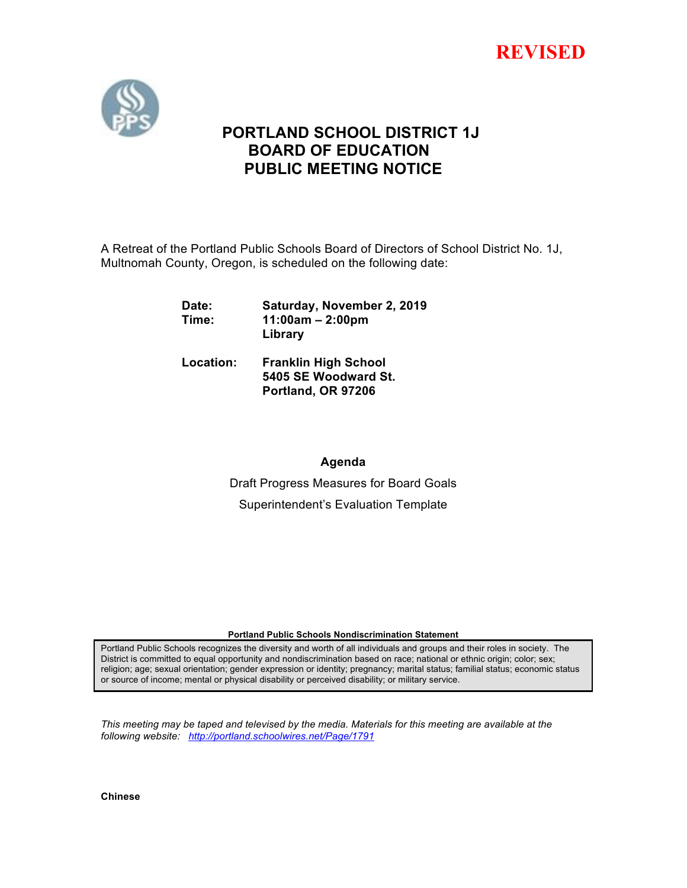



# **PORTLAND SCHOOL DISTRICT 1J BOARD OF EDUCATION PUBLIC MEETING NOTICE**

A Retreat of the Portland Public Schools Board of Directors of School District No. 1J, Multnomah County, Oregon, is scheduled on the following date:

| Date:<br>Time: | Saturday, November 2, 2019<br>$11:00am - 2:00pm$<br>Library               |
|----------------|---------------------------------------------------------------------------|
| Location:      | <b>Franklin High School</b><br>5405 SE Woodward St.<br>Portland, OR 97206 |

**Agenda**

Draft Progress Measures for Board Goals Superintendent's Evaluation Template

## **Portland Public Schools Nondiscrimination Statement**

Portland Public Schools recognizes the diversity and worth of all individuals and groups and their roles in society. The District is committed to equal opportunity and nondiscrimination based on race; national or ethnic origin; color; sex; religion; age; sexual orientation; gender expression or identity; pregnancy; marital status; familial status; economic status or source of income; mental or physical disability or perceived disability; or military service.

*This meeting may be taped and televised by the media. Materials for this meeting are available at the following website: http://portland.schoolwires.net/Page/1791*